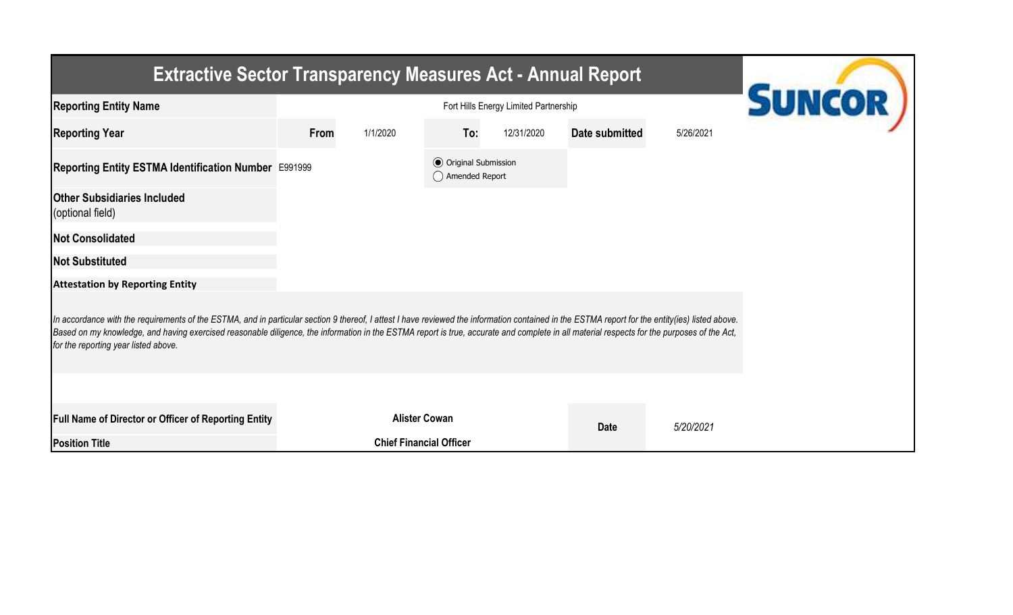| <b>Extractive Sector Transparency Measures Act - Annual Report</b>                                                                                                                                                                                                                                                                                                                                                                    |                  |                                |                                                  |                          |           |  |  |  |  |  |  |
|---------------------------------------------------------------------------------------------------------------------------------------------------------------------------------------------------------------------------------------------------------------------------------------------------------------------------------------------------------------------------------------------------------------------------------------|------------------|--------------------------------|--------------------------------------------------|--------------------------|-----------|--|--|--|--|--|--|
| <b>Reporting Entity Name</b>                                                                                                                                                                                                                                                                                                                                                                                                          |                  | <b>SUNCOR</b>                  |                                                  |                          |           |  |  |  |  |  |  |
| <b>Reporting Year</b>                                                                                                                                                                                                                                                                                                                                                                                                                 | From<br>1/1/2020 | To:                            | 12/31/2020                                       | Date submitted           | 5/26/2021 |  |  |  |  |  |  |
| Reporting Entity ESTMA Identification Number E991999                                                                                                                                                                                                                                                                                                                                                                                  |                  |                                | <b>●</b> Original Submission<br>◯ Amended Report |                          |           |  |  |  |  |  |  |
| <b>Other Subsidiaries Included</b><br>(optional field)                                                                                                                                                                                                                                                                                                                                                                                |                  |                                |                                                  |                          |           |  |  |  |  |  |  |
| <b>Not Consolidated</b>                                                                                                                                                                                                                                                                                                                                                                                                               |                  |                                |                                                  |                          |           |  |  |  |  |  |  |
| <b>Not Substituted</b>                                                                                                                                                                                                                                                                                                                                                                                                                |                  |                                |                                                  |                          |           |  |  |  |  |  |  |
| <b>Attestation by Reporting Entity</b>                                                                                                                                                                                                                                                                                                                                                                                                |                  |                                |                                                  |                          |           |  |  |  |  |  |  |
| In accordance with the requirements of the ESTMA, and in particular section 9 thereof, I attest I have reviewed the information contained in the ESTMA report for the entity(ies) listed above.<br>Based on my knowledge, and having exercised reasonable diligence, the information in the ESTMA report is true, accurate and complete in all material respects for the purposes of the Act,<br>for the reporting year listed above. |                  |                                |                                                  |                          |           |  |  |  |  |  |  |
|                                                                                                                                                                                                                                                                                                                                                                                                                                       |                  |                                |                                                  |                          |           |  |  |  |  |  |  |
| <b>Full Name of Director or Officer of Reporting Entity</b>                                                                                                                                                                                                                                                                                                                                                                           |                  | <b>Alister Cowan</b>           |                                                  | <b>Date</b><br>5/20/2021 |           |  |  |  |  |  |  |
| <b>Position Title</b>                                                                                                                                                                                                                                                                                                                                                                                                                 |                  | <b>Chief Financial Officer</b> |                                                  |                          |           |  |  |  |  |  |  |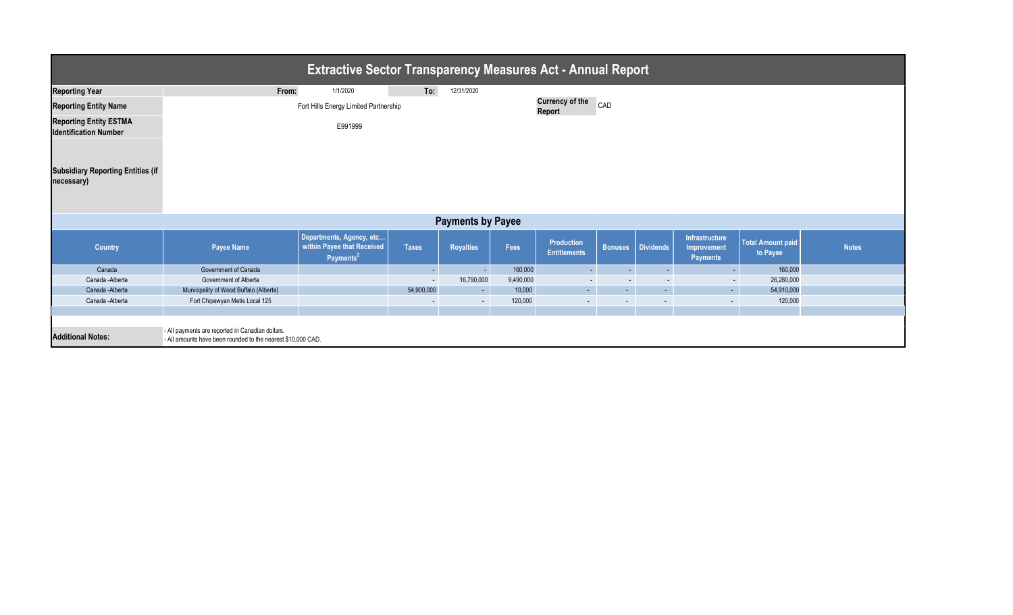| <b>Extractive Sector Transparency Measures Act - Annual Report</b>                                                                           |                                        |                                                                                 |                          |                          |           |                                          |                |                             |                                                  |                                      |              |
|----------------------------------------------------------------------------------------------------------------------------------------------|----------------------------------------|---------------------------------------------------------------------------------|--------------------------|--------------------------|-----------|------------------------------------------|----------------|-----------------------------|--------------------------------------------------|--------------------------------------|--------------|
| <b>Reporting Year</b>                                                                                                                        | From:                                  | 1/1/2020                                                                        | To:                      | 12/31/2020               |           |                                          |                |                             |                                                  |                                      |              |
| <b>Reporting Entity Name</b>                                                                                                                 |                                        | Fort Hills Energy Limited Partnership                                           |                          |                          |           | <b>Currency of the</b><br>Report         | CAD            |                             |                                                  |                                      |              |
| <b>Reporting Entity ESTMA</b><br><b>Identification Number</b>                                                                                |                                        | E991999                                                                         |                          |                          |           |                                          |                |                             |                                                  |                                      |              |
| <b>Subsidiary Reporting Entities (if</b><br>necessary)                                                                                       |                                        |                                                                                 |                          |                          |           |                                          |                |                             |                                                  |                                      |              |
|                                                                                                                                              |                                        |                                                                                 |                          | <b>Payments by Payee</b> |           |                                          |                |                             |                                                  |                                      |              |
| <b>Country</b>                                                                                                                               | <b>Payee Name</b>                      | Departments, Agency, etc<br>within Payee that Received<br>Payments <sup>2</sup> | <b>Taxes</b>             | <b>Royalties</b>         | Fees      | <b>Production</b><br><b>Entitlements</b> | <b>Bonuses</b> | Dividends                   | Infrastructure<br>Improvement<br><b>Payments</b> | <b>Total Amount paid</b><br>to Payee | <b>Notes</b> |
| Canada                                                                                                                                       | Government of Canada                   |                                                                                 | $\sim$                   | $\sim$                   | 160,000   | $\sim$                                   | $\sim$         | - 1                         | $\sim$                                           | 160,000                              |              |
| Canada -Alberta                                                                                                                              | Government of Alberta                  |                                                                                 |                          | 16,790,000               | 9,490,000 | $\sim$                                   | $\sim$         | $\sim$                      |                                                  | 26,280,000                           |              |
| Canada -Alberta                                                                                                                              | Municipality of Wood Buffalo (Alberta) |                                                                                 | 54,900,000               | $\sim$                   | 10,000    | $\sim$                                   | $\sim$         | $\mathcal{L}^{\mathcal{A}}$ | $\sim$                                           | 54,910,000                           |              |
| Canada - Alberta                                                                                                                             | Fort Chipewyan Metis Local 125         |                                                                                 | $\overline{\phantom{a}}$ | $\sim$                   | 120,000   | $\sim$                                   | $\sim$         | $\sim$                      | $\sim$                                           | 120,000                              |              |
|                                                                                                                                              |                                        |                                                                                 |                          |                          |           |                                          |                |                             |                                                  |                                      |              |
| - All payments are reported in Canadian dollars.<br><b>Additional Notes:</b><br>- All amounts have been rounded to the nearest \$10,000 CAD. |                                        |                                                                                 |                          |                          |           |                                          |                |                             |                                                  |                                      |              |